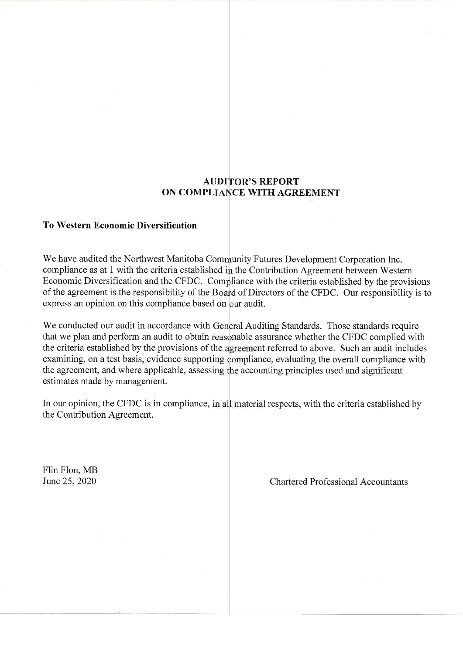### ON COMPLIANCE WITH AGREEMENT **AUDITOR'S REPORT**

### To Western Economic Diversification

We have audited the Northwest Manitoba Com unity Futures Development Corporation Inc. compliance as at 1 with the criteria established in the Contribution Agreement between Western Economic Diversification and the CFDC. Com liance with the criteria established by the provisions of the agreement is the responsibility of the Board of Directors of the CFDC. Our responsibility is to express an opinion on this compliance based on our audit.

We conducted our audit in accordance with General Auditing Standards. Those standards require that we plan and perform an audit to obtain reasonable assurance whether the CFDC complied with the criteria established by the provisions of the agreement referred to above. Such an audit includes examining, on a test basis, evidence supporting compliance, evaluating the overall compliance with the agreement, and where applicable, assessing the accounting principles used and significan estimates made by management.

In our opinion, the CFDC is in compliance, in all material respects, with the criteria established by the Contribution Agreement.

Flin Flon, MB June 25,2020

Chartered Professional Accountants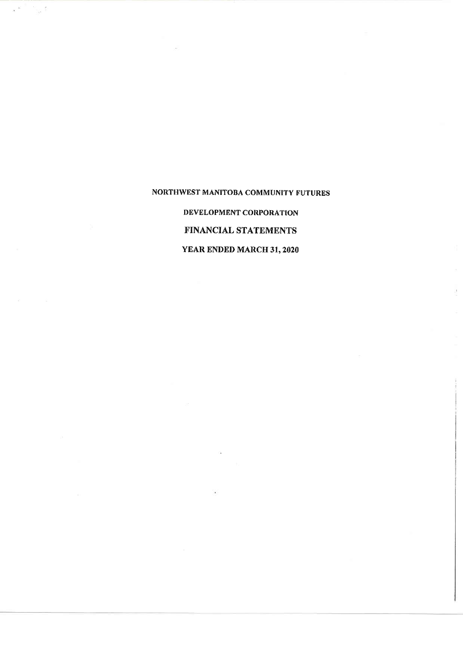# NORTHWEST MANITOBA COMMUNITY FUTURES

 $\pi^{\Sigma}$ 

 $\gamma_{\rm sc}$   $t$ 

DEVELOPMENT CORPORATION **FINANCIAL STATEMENTS** YEAR ENDED MARCH 31, 2020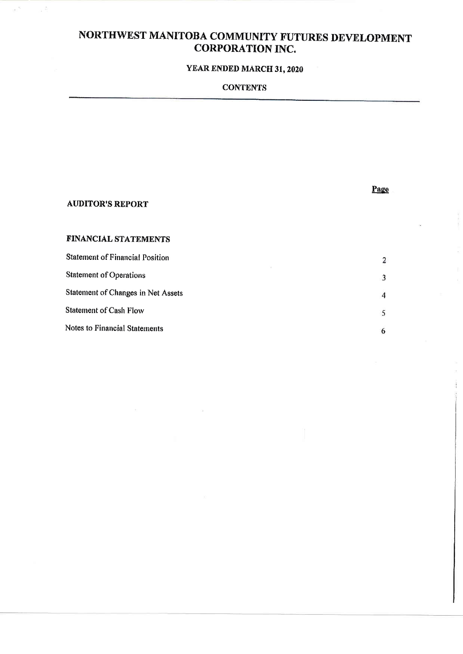#### YEAR ENDED MARCH 31, 2020

#### **CONTENTS**

Page

#### **AUDITOR'S REPORT**

 $\epsilon^{-1}$ 

 $\sim$   $^{\circ}$ 

#### **FINANCIAL STATEMENTS**

| <b>Statement of Financial Position</b> | $\overline{2}$ |
|----------------------------------------|----------------|
| <b>Statement of Operations</b>         | 3              |
| Statement of Changes in Net Assets     |                |
| <b>Statement of Cash Flow</b>          |                |
| Notes to Financial Statements          |                |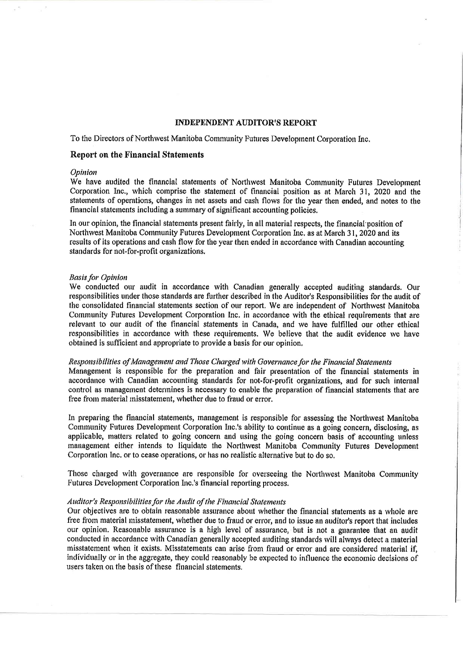#### **INDEPENDENT AUDITOR'S REPORT**

To the Directors of Northwest Manitoba Community Futures Development Corporation Inc.

#### **Report on the Financial Statements**

#### *Opinion*

We have audited the financial statements of Northwest Manitoba Community Futures Development Corporation Inc., which comprise the statement of financial position as at March 31, 2020 and the statements of operations, changes in net assets and cash flows for the year then ended, and notes to the financial statements including a summary of significant accounting policies.

In our opinion, the financial statements present fairly, in all material respects, the financial position of Northwest Manitoba Community Futures Development Corporation Inc. as at March 31, 2020 and its results of its operations and cash flow for the year then ended in accordance with Canadian accounting standards for not-for-profit organizations.

#### **Basis for Opinion**

We conducted our audit in accordance with Canadian generally accepted auditing standards. Our responsibilities under those standards are further described in the Auditor's Responsibilities for the audit of the consolidated financial statements section of our report. We are independent of Northwest Manitoba Community Futures Development Corporation Inc. in accordance with the ethical requirements that are relevant to our audit of the financial statements in Canada, and we have fulfilled our other ethical responsibilities in accordance with these requirements. We believe that the audit evidence we have obtained is sufficient and appropriate to provide a basis for our opinion.

#### Responsibilities of Management and Those Charged with Governance for the Financial Statements

Management is responsible for the preparation and fair presentation of the financial statements in accordance with Canadian accounting standards for not-for-profit organizations, and for such internal control as management determines is necessary to enable the preparation of financial statements that are free from material misstatement, whether due to fraud or error.

In preparing the financial statements, management is responsible for assessing the Northwest Manitoba Community Futures Development Corporation Inc.'s ability to continue as a going concern, disclosing, as applicable, matters related to going concern and using the going concern basis of accounting unless management either intends to liquidate the Northwest Manitoba Community Futures Development Corporation Inc. or to cease operations, or has no realistic alternative but to do so.

Those charged with governance are responsible for overseeing the Northwest Manitoba Community Futures Development Corporation Inc.'s financial reporting process.

#### Auditor's Responsibilities for the Audit of the Financial Statements

Our objectives are to obtain reasonable assurance about whether the financial statements as a whole are free from material misstatement, whether due to fraud or error, and to issue an auditor's report that includes our opinion. Reasonable assurance is a high level of assurance, but is not a guarantee that an audit conducted in accordance with Canadian generally accepted auditing standards will always detect a material misstatement when it exists. Misstatements can arise from fraud or error and are considered material if, individually or in the aggregate, they could reasonably be expected to influence the economic decisions of users taken on the basis of these financial statements.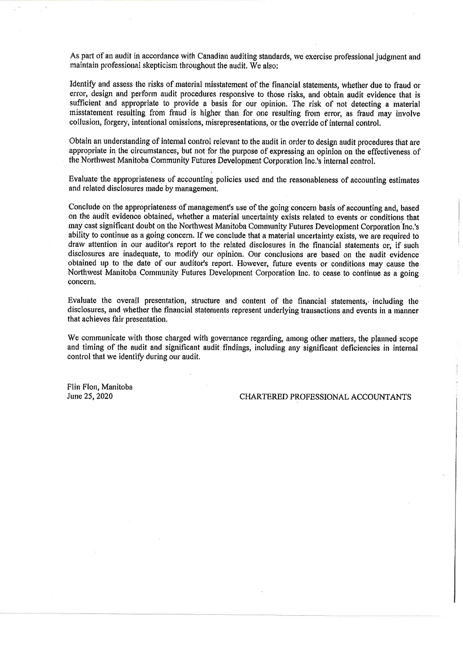As part of an audit in accordance with Canadian auditing standards, we exercise professional judgment and maintain professional skepticism thtoughout the audit. Wo also;

Identify and assess the risks of material misstatement of the financial statements, whether due to fraud or. error, design and perform audit procedures responsive to those risks, and obtain audit evidence that is sufficient and appropriate to provide a basis for our opinion. The risk of not detecting a material misstatement resulting from fraud is higher than for one resulting from error, as fraud may involve collusion, forgery, intentional omissions, misrepresentations, or the override of internal control,

Obtain an understanding of internal control relevant to the audit in order to design audit procedures that are appropriate in the circumstances, but not for the purpose of expressing an opinion on the effectiveness of the Northwest Manitoba Community Futures Development Corporation Inc.'s internal control.

Evaluate the appropriateness of accounting policies used and the reasonableness of accounting estimates and related disclosures made by management.

Conclude on the appropriateness of management's use of the going concern basis of accounting and, based on the audit evidence obtained, whether a material uncertainty exists related to events or conditions that may cast significant doubt on the Northwest Manitoba Community Futures Development Corporation Inc.'s ability to continue as a going concern. If we conclude that a material uncertainty exists, we are required to draw attention in our auditor's report to the related disclosures in the financial statements or, if such disclosures are inadequate, to modify our opinion. Our conclusions are based on the audit evidence obtained up to the date of out auditot's report. Horvever, future events or conditions may cause the Northrvest Manitoba Cornrnunity Futures Developrnent Corporation Inc, to cease to continue as a going concern,

Evaluate the overall presentation, structure and content of the financial statements, including the disclosures, and whether the financial statements represent underlying transactions and events in a manner that achieves fair presentation,

We communicate with those charged with governance regarding, among other matters, the planned scope and timing of the audit and significant audit findings, including any significant deficiencies in internal control that we identify during our audit.

Flin Flon, Manitoba

June25,2020 CHARTERBD PROFESSIONAL ACCOUNTANTS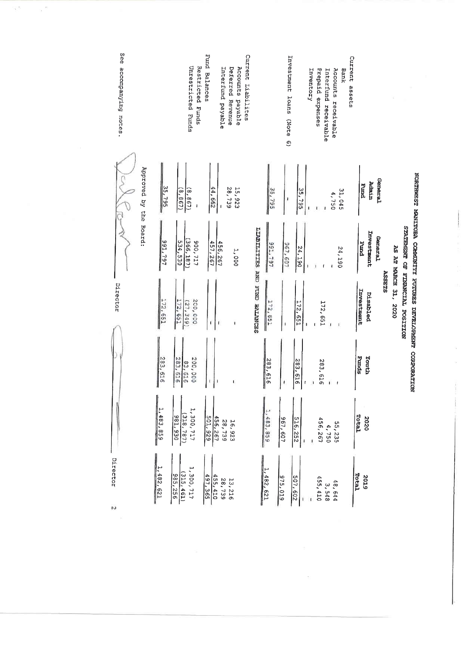|                                           |                                                                                        |                               |                                                     |                                  | Approved by the Board:  |                                                            |
|-------------------------------------------|----------------------------------------------------------------------------------------|-------------------------------|-----------------------------------------------------|----------------------------------|-------------------------|------------------------------------------------------------|
| $\frac{1}{2}$ , 482, 621                  | IJ<br>1,483,859                                                                        | 283, 616                      | 172,651                                             | 164'186                          | 35,795                  |                                                            |
| 1,300,717<br>(1315,461)<br>(185,256)      | $\frac{1,300,717}{(318,787)}$<br>982,930                                               | 283, 616<br>200,000<br>83,616 | 172,651<br>200,000<br>(27,349)                      | (366, 187)<br>534,530<br>172/006 | (3,867)<br>(3.867)<br>J | Unrestricted Funds<br>Restricted Funds                     |
| $\frac{455}{497,365}$<br>13,216<br>28,739 | $\begin{array}{r} 16,923 \\ 28,739 \\ 156,267 \\ \hline 101,929 \\ \hline \end{array}$ |                               |                                                     | 457,267<br>456,267               | 44,662                  | Fund Balances<br>Interfund payable                         |
|                                           |                                                                                        |                               |                                                     | 1,000                            | 28,739<br>15,923        | Current Liabilites<br>Deferred Revenue<br>Procurts payable |
|                                           |                                                                                        |                               | SEONVIVE OND LOW STUITERIT                          |                                  |                         |                                                            |
| 1,482,62                                  | 1,483,859                                                                              | 283,616                       | 172,651                                             | 197,797                          | 35,795                  |                                                            |
| 975,019                                   | 967,607                                                                                |                               |                                                     | 967,607                          | ı                       | Investment loans (Note 6)                                  |
| 507,602                                   | 516,252                                                                                | 283,616                       | 172,651                                             | 24, 190                          | 35, 795                 |                                                            |
|                                           |                                                                                        |                               |                                                     |                                  |                         | Inventory                                                  |
| 455,410                                   | 456,267                                                                                | 283,616                       | 172,651                                             |                                  |                         | Prepaid expenses<br>Interfund receivable                   |
| 48,644<br>3,548                           | 55,235<br>056'5                                                                        | f                             |                                                     |                                  | 4,750                   | Accounts receivable                                        |
|                                           |                                                                                        |                               |                                                     | 24,190                           | 31,045                  | Current assets<br>Bank                                     |
| Total                                     | Total                                                                                  | <b>Fumds</b>                  | <b>Investment</b>                                   | Pung                             | Pund                    |                                                            |
| 2019                                      | 2020                                                                                   | Touth                         | <b>Disabled</b>                                     | Investment                       | Achin                   |                                                            |
|                                           |                                                                                        |                               |                                                     | Ceneral                          | <b>General</b>          |                                                            |
|                                           |                                                                                        |                               | <b>ASSETS</b>                                       |                                  |                         |                                                            |
|                                           |                                                                                        |                               | AS AT MARCH 31, 2020                                |                                  |                         |                                                            |
|                                           |                                                                                        |                               | STATEMENT OF FINANCIAL POSTTICY                     |                                  |                         |                                                            |
|                                           |                                                                                        |                               | MORANTER RESOLUTION LETTERS DEVELOPMENT CORPORATION |                                  |                         |                                                            |

See accompanying notes.

Š  $\tilde{\sigma}$ Ŕ

Director

Director

N

ą.

 $\frac{1}{2}$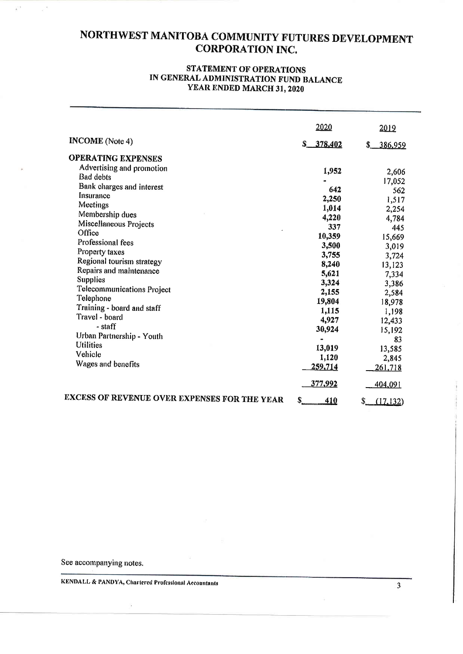#### **STATEMENT OF OPERATIONS** IN GENERAL ADMINISTRATION FUND BALANCE YEAR ENDED MARCH 31, 2020

|                                              | 2020       | 2019             |
|----------------------------------------------|------------|------------------|
| <b>INCOME</b> (Note 4)                       | \$ 378.402 | \$<br>386,959    |
| <b>OPERATING EXPENSES</b>                    |            |                  |
| Advertising and promotion                    |            |                  |
| <b>Bad</b> debts                             | 1,952      | 2,606            |
| Bank charges and interest                    |            | 17,052           |
| Insurance                                    | 642        | 562              |
| Meetings                                     | 2,250      | 1,517            |
| Membership dues                              | 1,014      | 2,254            |
| Miscellaneous Projects                       | 4,220      | 4,784            |
| Office                                       | 337        | 445              |
| Professional fees                            | 10,359     | 15,669           |
| Property taxes                               | 3,500      | 3,019            |
| Regional tourism strategy                    | 3,755      | 3,724            |
| Repairs and maintenance                      | 8,240      | 13,123           |
| Supplies                                     | 5,621      | 7,334            |
| Telecommunications Project                   | 3,324      | 3,386            |
| Telephone                                    | 2,155      | 2,584            |
| Training - board and staff                   | 19,804     | 18,978           |
| Travel - board                               | 1,115      | 1,198            |
|                                              | 4,927      | 12,433           |
| - staff                                      | 30,924     | 15,192           |
| Urban Partnership - Youth                    |            | 83               |
| <b>Utilities</b>                             | 13,019     | 13,585           |
| Vehicle                                      | 1,120      | 2,845            |
| Wages and benefits                           | 259,714    | 261,718          |
|                                              | 377,992    | 404,091          |
| EXCESS OF REVENUE OVER EXPENSES FOR THE YEAR | \$.<br>410 | \$.<br>(17, 132) |

See accompanying notes.

 $\tilde{\chi}^{(1)}$ 

 $\sim$ 

KENDALL & PANDYA, Chartered Professional Accountants

G.

 $\overline{3}$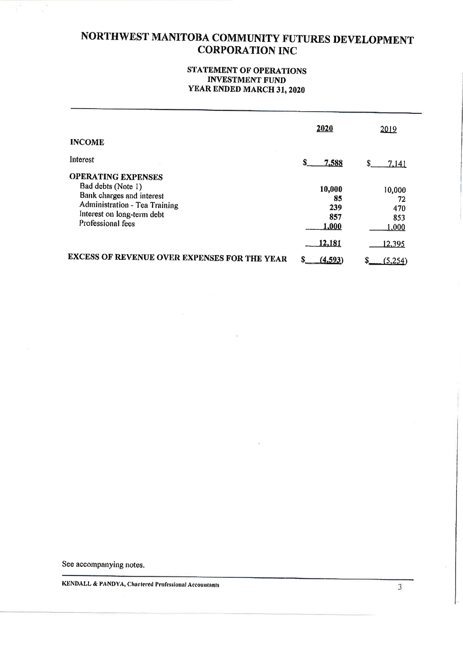### STATEMENT OF OPERATIONS **INVESTMENT FUND** YEAR ENDED MARCH 31, 2020

|                                                                                         | 2020                            | 2019                           |
|-----------------------------------------------------------------------------------------|---------------------------------|--------------------------------|
| <b>INCOME</b>                                                                           |                                 |                                |
| Interest                                                                                | S<br><u>7,588</u>               | ς<br>7,141                     |
| <b>OPERATING EXPENSES</b><br>Bad debts (Note 1)<br>Bank charges and interest            | 10,000                          | 10,000                         |
| <b>Administration - Tea Training</b><br>Interest on long-term debt<br>Professional fees | 85<br>239<br>857<br>1,000       | 72<br>470<br>853<br>L.000      |
| EXCESS OF REVENUE OVER EXPENSES FOR THE YEAR                                            | <u>12,181</u><br>\$.<br>(4.593) | <u>12,395</u><br>S<br>(5, 254) |

See accompanying notes.

**KENDALL & PANDYA, Chartered Professional Accountants**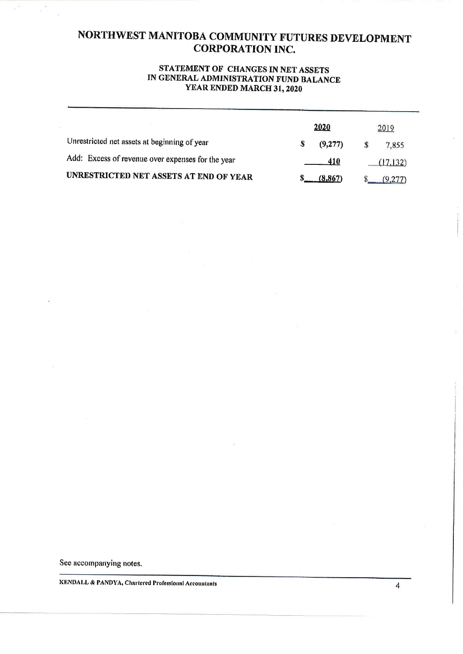### STATEMENT OF CHANGES IN NET ASSETS IN GENERAL ADMINISTRATION FUND BALANCE YEAR ENDED MARCH 31, 2020

|                                                   | 2020          | 2019      |
|---------------------------------------------------|---------------|-----------|
| Unrestricted net assets at beginning of year      | S.<br>(9,277) | 7,855     |
| Add: Excess of revenue over expenses for the year | -410          | (17, 132) |
| UNRESTRICTED NET ASSETS AT END OF YEAR            | (8.867)       |           |

See accompanying notes.

KENDALL & PANDYA, Chartered Professional Accountants

 $\overline{4}$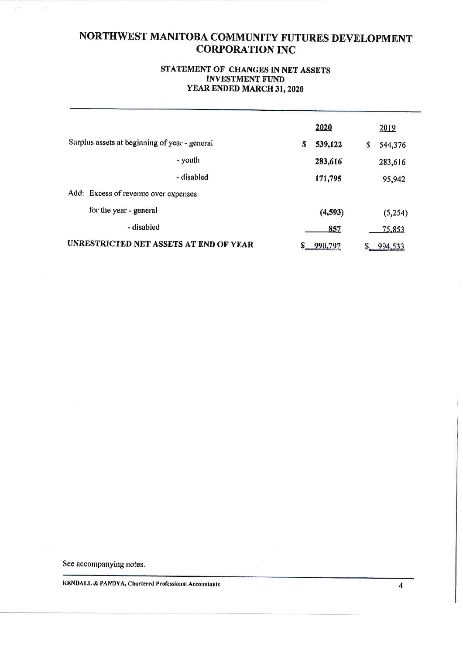### STATEMENT OF CHANGES IN NET ASSETS **INVESTMENT FUND** YEAR ENDED MARCH 31, 2020

|                                               |    | 2020    | 2019          |
|-----------------------------------------------|----|---------|---------------|
| Surplus assets at beginning of year - general | S  | 539,122 | \$<br>544,376 |
| - youth                                       |    | 283,616 | 283,616       |
| - disabled                                    |    | 171,795 | 95,942        |
| Add: Excess of revenue over expenses          |    |         |               |
| for the year - general                        |    | (4,593) | (5,254)       |
| - disabled                                    |    | 857     | <u>75,853</u> |
| UNRESTRICTED NET ASSETS AT END OF YEAR        | S. | 990,797 | 994,533       |

J.

See accompanying notes.

 $\mathcal{L}^{(0)}$ 

 $\hat{\mathcal{C}}^{(n)}$ 

KENDALL & PANDYA, Chartered Professional Accountants

 $\overline{4}$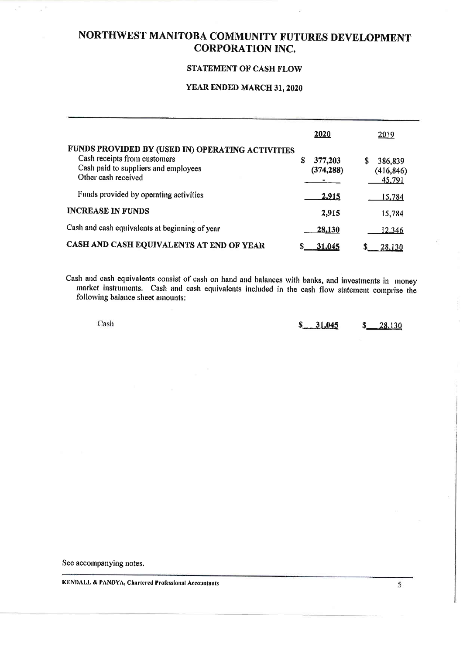#### **STATEMENT OF CASH FLOW**

#### YEAR ENDED MARCH 31, 2020

|                                                                                                                                                 | 2020                       | 2019                                 |
|-------------------------------------------------------------------------------------------------------------------------------------------------|----------------------------|--------------------------------------|
| FUNDS PROVIDED BY (USED IN) OPERATING ACTIVITIES<br>Cash receipts from customers<br>Cash paid to suppliers and employees<br>Other cash received | S<br>377,203<br>(374, 288) | S<br>386,839<br>(416, 846)<br>45,791 |
| Funds provided by operating activities                                                                                                          | <u>2.915</u>               | 15,784                               |
| <b>INCREASE IN FUNDS</b>                                                                                                                        | 2,915                      | 15,784                               |
| Cash and cash equivalents at beginning of year                                                                                                  | 28,130                     | <u>12,346</u>                        |
| CASH AND CASH EQUIVALENTS AT END OF YEAR                                                                                                        | 31,045                     | 28,130                               |

Cash and cash equivalents consist of cash on hand and balances with banks, and investments in money market instruments. Cash and cash equivalents included in the cash flow statement comprise the following balance sheet amounts:

Cash

S 31,045 28,130 \$

See accompanying notes.

**KENDALL & PANDYA, Chartered Professional Accountants**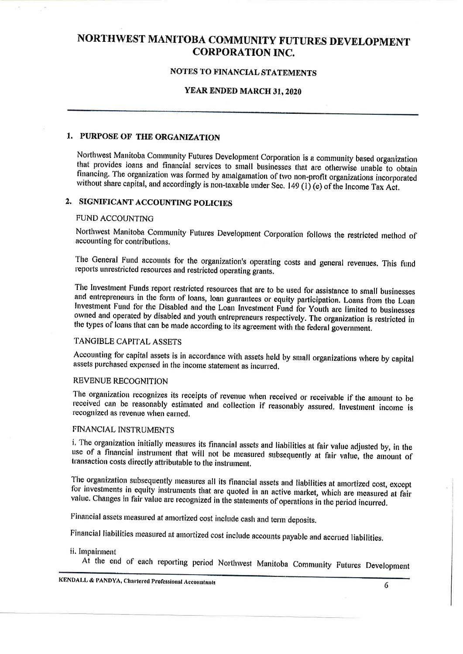#### NOTES TO FINANCIAL STATEMENTS

#### YEAR ENDED MARCH 31, 2020

# 1. PURPOSE OF THE ORGANIZATION

Northwest Manitoba Community Futures Development Corporation is a community based organization that provides loans and financial services to small businesses that are otherwise unable to obtain financing. The organization was formed by amalgamation of two non-profit organizations incorporated without share capital, and accordingly is non-taxable under Sec. 149 (1) (e) of the Income Tax Act.

#### 2. SIGNIFICANT ACCOUNTING POLICIES

#### **FUND ACCOUNTING**

Northwest Manitoba Community Futures Development Corporation follows the restricted method of accounting for contributions.

The General Fund accounts for the organization's operating costs and general revenues. This fund reports unrestricted resources and restricted operating grants.

The Investment Funds report restricted resources that are to be used for assistance to small businesses and entrepreneurs in the form of loans, loan guarantees or equity participation. Loans from the Loan Investment Fund for the Disabled and the Loan Investment Fund for Youth are limited to businesses owned and operated by disabled and youth entrepreneurs respectively. The organization is restricted in the types of loans that can be made according to its agreement with the federal government.

#### **TANGIBLE CAPITAL ASSETS**

Accounting for capital assets is in accordance with assets held by small organizations where by capital assets purchased expensed in the income statement as incurred.

### **REVENUE RECOGNITION**

The organization recognizes its receipts of revenue when received or receivable if the amount to be received can be reasonably estimated and collection if reasonably assured. Investment income is recognized as revenue when earned.

#### FINANCIAL INSTRUMENTS

i. The organization initially measures its financial assets and liabilities at fair value adjusted by, in the use of a financial instrument that will not be measured subsequently at fair value, the amount of transaction costs directly attributable to the instrument.

The organization subsequently measures all its financial assets and liabilities at amortized cost, except for investments in equity instruments that are quoted in an active market, which are measured at fair value. Changes in fair value are recognized in the statements of operations in the period incurred.

Financial assets measured at amortized cost include cash and term deposits.

Financial liabilities measured at amortized cost include accounts payable and accrued liabilities.

#### ii. Impairment

At the end of each reporting period Northwest Manitoba Community Futures Development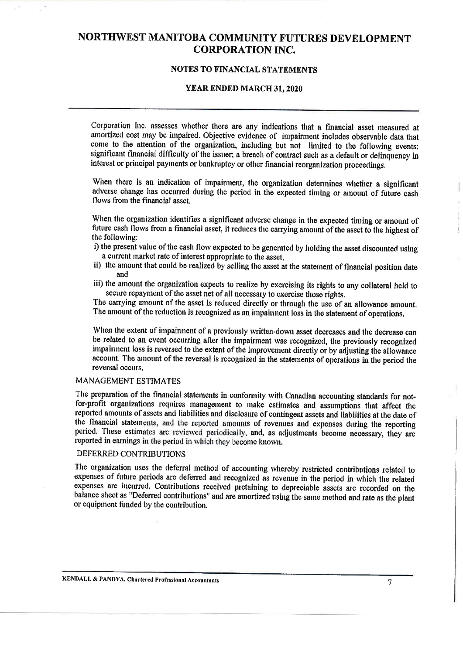#### **NOTES TO FINANCIAL STATEMENTS**

#### YEAR ENDED MARCH 31, 2020

Corporation Inc. assesses whether there are any indications that a financial asset measured at amortized cost may be impaired. Objective evidence of impairment includes observable data that come to the attention of the organization, including but not limited to the following events: significant financial difficulty of the issuer; a breach of contract such as a default or delinquency in interest or principal payments or bankruptcy or other financial reorganization proceedings.

When there is an indication of impairment, the organization determines whether a significant adverse change has occurred during the period in the expected timing or amount of future cash flows from the financial asset.

When the organization identifies a significant adverse change in the expected timing or amount of future cash flows from a financial asset, it reduces the carrying amount of the asset to the highest of the following:

- i) the present value of the cash flow expected to be generated by holding the asset discounted using a current market rate of interest appropriate to the asset,
- ii) the amount that could be realized by selling the asset at the statement of financial position date and
- iii) the amount the organization expects to realize by exercising its rights to any collateral held to secure repayment of the asset net of all necessary to exercise those rights.

The carrying amount of the asset is reduced directly or through the use of an allowance amount. The amount of the reduction is recognized as an impairment loss in the statement of operations.

When the extent of impairment of a previously written-down asset decreases and the decrease can be related to an event occurring after the impairment was recognized, the previously recognized impairment loss is reversed to the extent of the improvement directly or by adjusting the allowance account. The amount of the reversal is recognized in the statements of operations in the period the reversal occurs.

#### **MANAGEMENT ESTIMATES**

The preparation of the financial statements in conformity with Canadian accounting standards for notfor-profit organizations requires management to make estimates and assumptions that affect the reported amounts of assets and liabilities and disclosure of contingent assets and liabilities at the date of the financial statements, and the reported amounts of revenues and expenses during the reporting period. These estimates are reviewed periodically, and, as adjustments become necessary, they are reported in earnings in the period in which they become known.

#### DEFERRED CONTRIBUTIONS

The organization uses the deferral method of accounting whereby restricted contributions related to expenses of future periods are deferred and recognized as revenue in the period in which the related expenses are incurred. Contributions received pretaining to depreciable assets are recorded on the balance sheet as "Deferred contributions" and are amortized using the same method and rate as the plant or equipment funded by the contribution.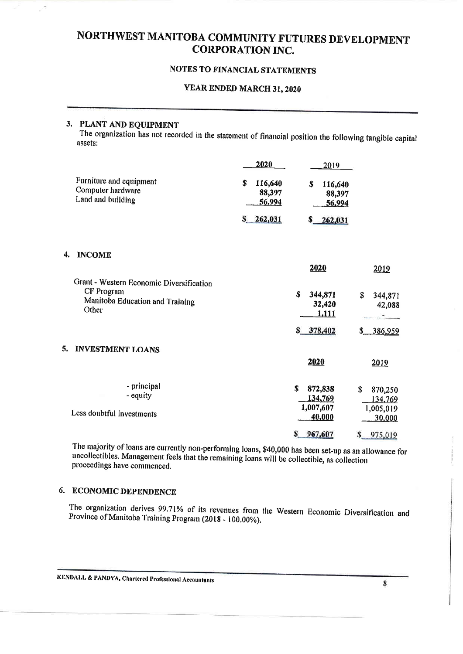### NOTES TO FINANCIAL STATEMENTS

#### YEAR ENDED MARCH 31, 2020

#### 3. PLANT AND EQUIPMENT

The organization has not recorded in the statement of financial position the following tangible capital assets:

|                                                                                                    | 2020                                        | 2019                             |                               |
|----------------------------------------------------------------------------------------------------|---------------------------------------------|----------------------------------|-------------------------------|
| Furniture and equipment<br>Computer hardware<br>Land and building                                  | $\mathbf{s}$<br>116,640<br>88,397<br>56,994 | Ŝ<br>116,640<br>88,397<br>56,994 |                               |
|                                                                                                    | \$262,031                                   | 262,031<br>\$                    |                               |
| <b>INCOME</b><br>4.                                                                                |                                             |                                  |                               |
|                                                                                                    |                                             | 2020                             | 2019                          |
| Grant - Western Economic Diversification<br>CF Program<br>Manitoba Education and Training<br>Other |                                             | S<br>344,871<br>32,420<br>1,111  | \$<br>344,871<br>42,088<br>u, |
|                                                                                                    |                                             | \$_378,402                       | \$ 386,959                    |
| 5.<br><b>INVESTMENT LOANS</b>                                                                      |                                             |                                  |                               |
|                                                                                                    |                                             | 2020                             | 2019                          |
| - principal<br>- equity                                                                            |                                             | S<br>872,838<br>134,769          | \$<br>870,250<br>134,769      |
| Less doubtful investments                                                                          |                                             | 1,007,607<br>40,000              | 1,005,019<br>30,000           |
|                                                                                                    |                                             | \$ 967,607                       | \$<br>975,019                 |

The majority of loans are currently non-performing loans, \$40,000 has been set-up as an allowance for uncollectibles. Management feels that the remaining loans will be collectible, as collection proceedings have commenced.

### 6. ECONOMIC DEPENDENCE

5.

The organization derives 99.71% of its revenues from the Western Economic Diversification and Province of Manitoba Training Program (2018 - 100.00%).